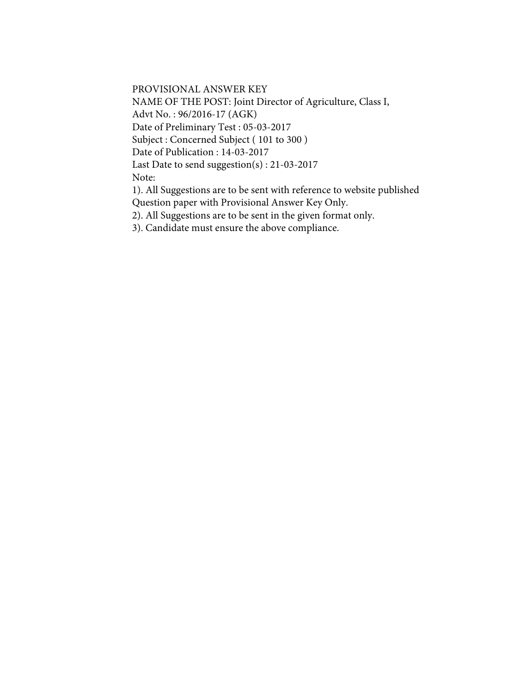PROVISIONAL ANSWER KEY

NAME OF THE POST: Joint Director of Agriculture, Class I, Advt No. : 96/2016-17 (AGK) Date of Preliminary Test : 05-03-2017 Subject : Concerned Subject ( 101 to 300 ) Date of Publication : 14-03-2017 Last Date to send suggestion(s) : 21-03-2017 Note:

1). All Suggestions are to be sent with reference to website published Question paper with Provisional Answer Key Only.

2). All Suggestions are to be sent in the given format only.

3). Candidate must ensure the above compliance.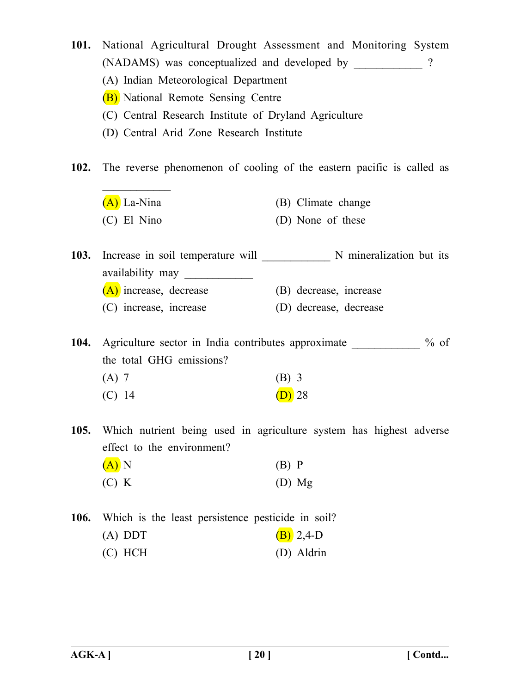- **101.** National Agricultural Drought Assessment and Monitoring System (NADAMS) was conceptualized and developed by \_\_\_\_\_\_\_\_\_\_\_\_ ?
	- (A) Indian Meteorological Department
	- (B) National Remote Sensing Centre

 $\frac{1}{2}$ 

- (C) Central Research Institute of Dryland Agriculture
- (D) Central Arid Zone Research Institute
- **102.** The reverse phenomenon of cooling of the eastern pacific is called as
	- (A) La-Nina (B) Climate change (C) El Nino (D) None of these
- 103. Increase in soil temperature will N mineralization but its availability may (A) increase, decrease (B) decrease, increase (C) increase, increase (D) decrease, decrease

**104.** Agriculture sector in India contributes approximate  $\%$  of the total GHG emissions?

- (A) 7 (B) 3
- (C) 14 (D) 28
- **105.** Which nutrient being used in agriculture system has highest adverse effect to the environment?
	- $(A)$  N (B) P  $(C) K$  (D) Mg
- **106.** Which is the least persistence pesticide in soil? (A) DDT  $(B)$  2,4-D (C) HCH (D) Aldrin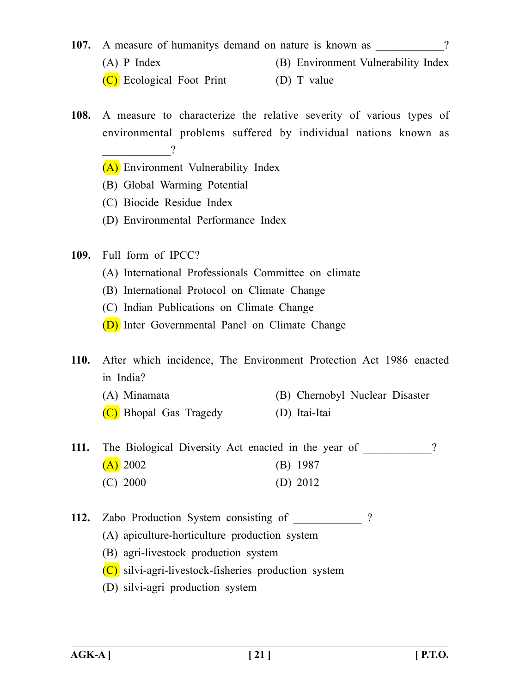- **107.** A measure of humanitys demand on nature is known as  $\gamma$ (A) P Index (B) Environment Vulnerability Index
	- (C) Ecological Foot Print (D) T value
- **108.** A measure to characterize the relative severity of various types of environmental problems suffered by individual nations known as  $\overline{\phantom{a}}$ 
	- (A) Environment Vulnerability Index
	- (B) Global Warming Potential
	- (C) Biocide Residue Index
	- (D) Environmental Performance Index
- **109.** Full form of IPCC?
	- (A) International Professionals Committee on climate
	- (B) International Protocol on Climate Change
	- (C) Indian Publications on Climate Change
	- (D) Inter Governmental Panel on Climate Change
- **110.** After which incidence, The Environment Protection Act 1986 enacted in India?
	- (A) Minamata (B) Chernobyl Nuclear Disaster
	- (C) Bhopal Gas Tragedy (D) Itai-Itai
- **111.** The Biological Diversity Act enacted in the year of ?  $(A)$  2002 (B) 1987 (C) 2000 (D) 2012
- **112.** Zabo Production System consisting of ?
	- (A) apiculture-horticulture production system
	- (B) agri-livestock production system
	- (C) silvi-agri-livestock-fisheries production system
	- (D) silvi-agri production system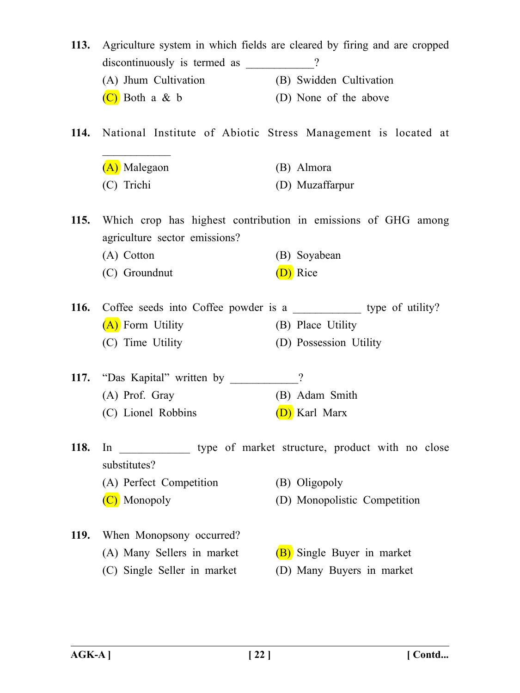| 113.        | Agriculture system in which fields are cleared by firing and are cropped |                                                                      |
|-------------|--------------------------------------------------------------------------|----------------------------------------------------------------------|
|             | discontinuously is termed as __________?                                 |                                                                      |
|             | (A) Jhum Cultivation                                                     | (B) Swidden Cultivation                                              |
|             | $(C)$ Both a & b                                                         | (D) None of the above                                                |
| <b>114.</b> |                                                                          | National Institute of Abiotic Stress Management is located at        |
|             | (A) Malegaon                                                             | (B) Almora                                                           |
|             | (C) Trichi                                                               | (D) Muzaffarpur                                                      |
| <b>115.</b> | agriculture sector emissions?                                            | Which crop has highest contribution in emissions of GHG among        |
|             | (A) Cotton                                                               | (B) Soyabean                                                         |
|             | (C) Groundnut                                                            | (D) Rice                                                             |
| <b>116.</b> |                                                                          | Coffee seeds into Coffee powder is a ______________ type of utility? |
|             | (A) Form Utility                                                         | (B) Place Utility                                                    |
|             | (C) Time Utility                                                         | (D) Possession Utility                                               |
| <b>117.</b> | "Das Kapital" written by                                                 | $\gamma$                                                             |
|             | (A) Prof. Gray                                                           | (B) Adam Smith                                                       |
|             | (C) Lionel Robbins                                                       | D) Karl Marx                                                         |
| <b>118.</b> | In<br>substitutes?                                                       | type of market structure, product with no close                      |
|             | (A) Perfect Competition                                                  | (B) Oligopoly                                                        |
|             | (C) Monopoly                                                             | (D) Monopolistic Competition                                         |
| <b>119.</b> | When Monopsony occurred?                                                 |                                                                      |
|             | (A) Many Sellers in market                                               | (B) Single Buyer in market                                           |
|             | (C) Single Seller in market                                              | (D) Many Buyers in market                                            |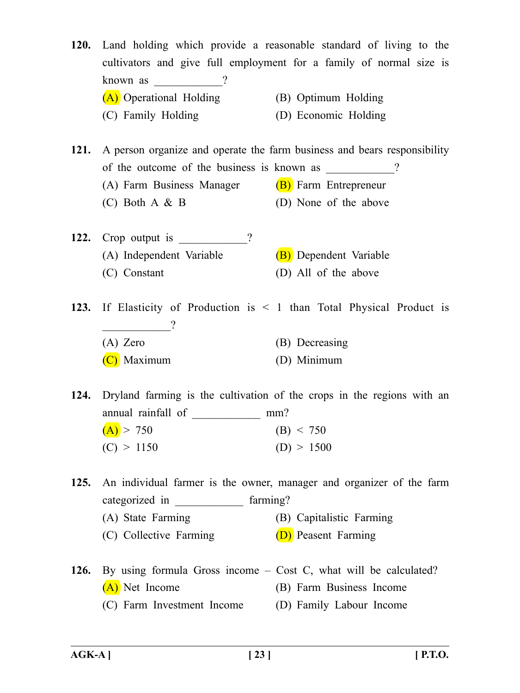**120.** Land holding which provide a reasonable standard of living to the cultivators and give full employment for a family of normal size is known as  $\frac{1}{2}$ (A) Operational Holding (B) Optimum Holding (C) Family Holding (D) Economic Holding

**121.** A person organize and operate the farm business and bears responsibility of the outcome of the business is known as  $\gamma$ (A) Farm Business Manager  $(B)$  Farm Entrepreneur (C) Both A & B (D) None of the above

**122.** Crop output is  $\frac{122}{12}$ (A) Independent Variable (B) Dependent Variable (C) Constant (D) All of the above

**123.** If Elasticity of Production is < 1 than Total Physical Product is  $\overline{\phantom{a}2}$ (A) Zero (B) Decreasing (C) Maximum (D) Minimum

**124.** Dryland farming is the cultivation of the crops in the regions with an annual rainfall of mm?  $(A) > 750$  (B) < 750  $(C) > 1150$   $(D) > 1500$ 

**125.** An individual farmer is the owner, manager and organizer of the farm categorized in \_\_\_\_\_\_\_\_\_\_\_\_\_\_ farming?

- (A) State Farming (B) Capitalistic Farming
- (C) Collective Farming  $(D)$  Peasent Farming
- **126.** By using formula Gross income Cost C, what will be calculated? (A) Net Income (B) Farm Business Income (C) Farm Investment Income (D) Family Labour Income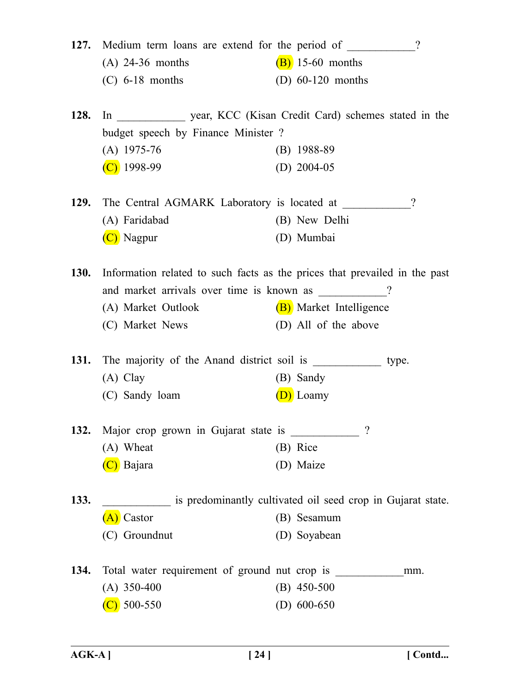|             | 127. Medium term loans are extend for the period of _________?             |                         |          |
|-------------|----------------------------------------------------------------------------|-------------------------|----------|
|             | $(A)$ 24-36 months                                                         | $(B)$ 15-60 months      |          |
|             | $(C)$ 6-18 months                                                          | (D) $60-120$ months     |          |
| 128.        |                                                                            |                         |          |
|             | budget speech by Finance Minister ?                                        |                         |          |
|             | $(A)$ 1975-76                                                              | $(B)$ 1988-89           |          |
|             | $(C)$ 1998-99                                                              | (D) $2004-05$           |          |
| <b>129.</b> | The Central AGMARK Laboratory is located at                                |                         | $\gamma$ |
|             | (A) Faridabad                                                              | (B) New Delhi           |          |
|             | (C) Nagpur                                                                 | (D) Mumbai              |          |
| <b>130.</b> | Information related to such facts as the prices that prevailed in the past |                         |          |
|             | and market arrivals over time is known as __________?                      |                         |          |
|             | (A) Market Outlook                                                         | (B) Market Intelligence |          |
|             | (C) Market News                                                            | (D) All of the above    |          |
| <b>131.</b> |                                                                            |                         | type.    |
|             | $(A)$ Clay                                                                 | (B) Sandy               |          |
|             | (C) Sandy loam                                                             | (D) Loamy               |          |
| 132.        | Major crop grown in Gujarat state is ________                              | $\mathcal{P}$           |          |
|             | (A) Wheat                                                                  | (B) Rice                |          |
|             | (C) Bajara                                                                 | (D) Maize               |          |
| 133.        | is predominantly cultivated oil seed crop in Gujarat state.                |                         |          |
|             | (A) Castor                                                                 | (B) Sesamum             |          |
|             | (C) Groundnut                                                              | (D) Soyabean            |          |
| 134.        |                                                                            |                         | mm.      |
|             | $(A)$ 350-400                                                              | $(B)$ 450-500           |          |
|             | $(C)$ 500-550                                                              | (D) $600-650$           |          |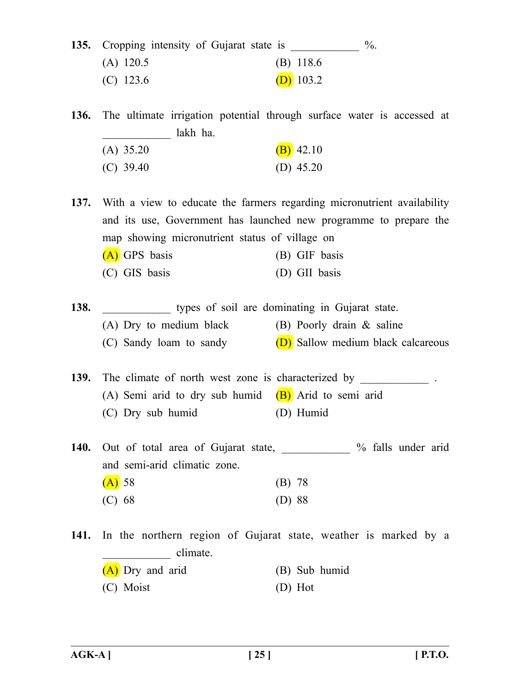|             | 135. Cropping intensity of Gujarat state is | $\%$ . |
|-------------|---------------------------------------------|--------|
| $(A)$ 120.5 | $(B)$ 118.6                                 |        |
| $(C)$ 123.6 | $(D)$ 103.2                                 |        |

**136.** The ultimate irrigation potential through surface water is accessed at \_\_\_\_\_\_\_\_\_\_\_\_ lakh ha. (A)  $35.20$  (B)  $42.10$ (C) 39.40 (D) 45.20

**137.** With a view to educate the farmers regarding micronutrient availability and its use, Government has launched new programme to prepare the map showing micronutrient status of village on (A) GPS basis (B) GIF basis (C) GIS basis (D) GII basis

| 138. |                         | types of soil are dominating in Gujarat state. |
|------|-------------------------|------------------------------------------------|
|      | (A) Dry to medium black | $(B)$ Poorly drain & saline                    |
|      | (C) Sandy loam to sandy | (D) Sallow medium black calcareous             |

**139.** The climate of north west zone is characterized by (A) Semi arid to dry sub humid  $(B)$  Arid to semi arid (C) Dry sub humid (D) Humid

140. Out of total area of Gujarat state,  $\%$  falls under arid and semi-arid climatic zone.

| $(A)$ 58 | (B) 78   |  |
|----------|----------|--|
| (C) 68   | $(D)$ 88 |  |

**141.** In the northern region of Gujarat state, weather is marked by a \_\_\_\_\_\_\_\_\_\_\_\_ climate. (A) Dry and arid (B) Sub humid (C) Moist (D) Hot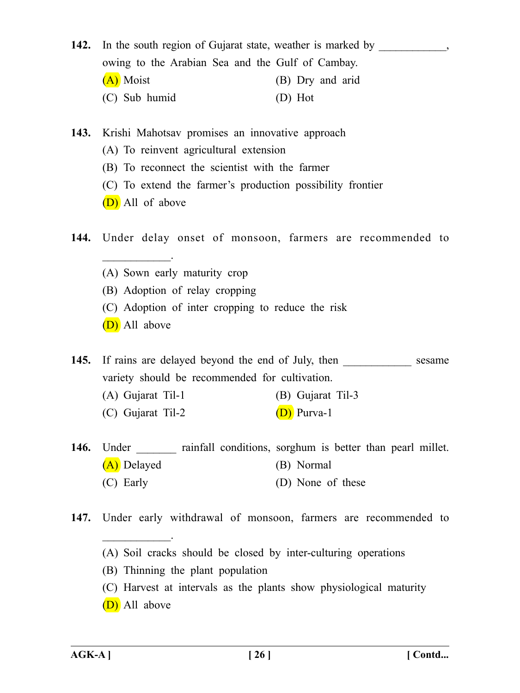| 142. In the south region of Gujarat state, weather is marked by |                  |
|-----------------------------------------------------------------|------------------|
| owing to the Arabian Sea and the Gulf of Cambay.                |                  |
| (A) Moist                                                       | (B) Dry and arid |
| (C) Sub humid                                                   | (D) Hot          |

**143.** Krishi Mahotsav promises an innovative approach

- (A) To reinvent agricultural extension
- (B) To reconnect the scientist with the farmer
- (C) To extend the farmer's production possibility frontier
- (D) All of above

**144.** Under delay onset of monsoon, farmers are recommended to

- (A) Sown early maturity crop
- (B) Adoption of relay cropping
- (C) Adoption of inter cropping to reduce the risk
- (D) All above

 $\frac{1}{2}$ 

**145.** If rains are delayed beyond the end of July, then sesame variety should be recommended for cultivation.

- (A) Gujarat Til-1 (B) Gujarat Til-3
- (C) Gujarat Til-2 (D) Purva-1
- **146.** Under **rainfall conditions**, sorghum is better than pearl millet. (A) Delayed (B) Normal (C) Early (D) None of these
- **147.** Under early withdrawal of monsoon, farmers are recommended to
	- (A) Soil cracks should be closed by inter-culturing operations
	- (B) Thinning the plant population
	- (C) Harvest at intervals as the plants show physiological maturity
	- (D) All above

 $\overline{\phantom{a}}$  . The same set of  $\overline{\phantom{a}}$  .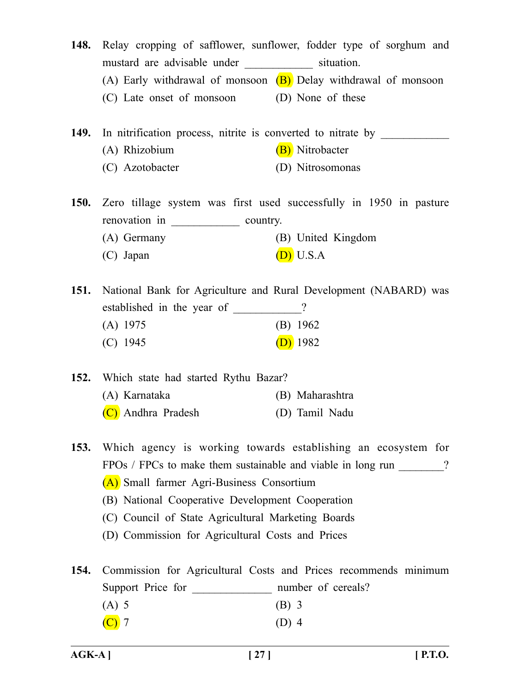- **148.** Relay cropping of safflower, sunflower, fodder type of sorghum and mustard are advisable under \_\_\_\_\_\_\_\_\_\_\_\_ situation. (A) Early withdrawal of monsoon  $(B)$  Delay withdrawal of monsoon (C) Late onset of monsoon (D) None of these
- **149.** In nitrification process, nitrite is converted to nitrate by (A) Rhizobium (B) Nitrobacter (C) Azotobacter (D) Nitrosomonas

**150.** Zero tillage system was first used successfully in 1950 in pasture renovation in \_\_\_\_\_\_\_\_\_\_\_\_ country. (A) Germany (B) United Kingdom (C) Japan  $(D)$  U.S.A

**151.** National Bank for Agriculture and Rural Development (NABARD) was established in the year of  $\qquad$  ? (A) 1975 (B) 1962 (C)  $1945$  (D)  $1982$ 

**152.** Which state had started Rythu Bazar? (A) Karnataka (B) Maharashtra (C) Andhra Pradesh (D) Tamil Nadu

**153.** Which agency is working towards establishing an ecosystem for FPOs / FPCs to make them sustainable and viable in long run ? (A) Small farmer Agri-Business Consortium (B) National Cooperative Development Cooperation (C) Council of State Agricultural Marketing Boards

(D) Commission for Agricultural Costs and Prices

**154.** Commission for Agricultural Costs and Prices recommends minimum Support Price for mumber of cereals? (A) 5 (B) 3  $(C)$  7 (D) 4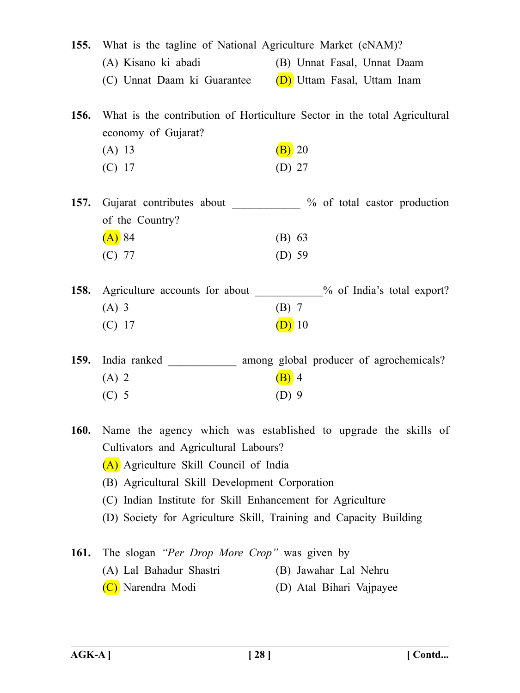|             | 155. What is the tagline of National Agriculture Market (eNAM)?                 |                                                                                                   |
|-------------|---------------------------------------------------------------------------------|---------------------------------------------------------------------------------------------------|
|             | (A) Kisano ki abadi                                                             | (B) Unnat Fasal, Unnat Daam                                                                       |
|             |                                                                                 | (C) Unnat Daam ki Guarantee (D) Uttam Fasal, Uttam Inam                                           |
| <b>156.</b> | economy of Gujarat?<br>(A) 13<br>$(C)$ 17                                       | What is the contribution of Horticulture Sector in the total Agricultural<br>$(B)$ 20<br>$(D)$ 27 |
|             |                                                                                 |                                                                                                   |
|             | of the Country?                                                                 | 157. Gujarat contributes about ___________ % of total castor production                           |
|             | $(A)$ 84                                                                        | $(B)$ 63                                                                                          |
|             | $(C)$ 77                                                                        | $(D)$ 59                                                                                          |
|             |                                                                                 | 158. Agriculture accounts for about __________% of India's total export?                          |
|             | $(A)$ 3                                                                         | $(B)$ 7                                                                                           |
|             | $(C)$ 17                                                                        | $(D)$ 10                                                                                          |
| <b>159.</b> |                                                                                 | India ranked _____________ among global producer of agrochemicals?                                |
|             | $(A)$ 2                                                                         | $(B)$ 4                                                                                           |
|             | $(C)$ 5                                                                         | $(D)$ 9                                                                                           |
| <b>160.</b> | Cultivators and Agricultural Labours?<br>(A) Agriculture Skill Council of India | Name the agency which was established to upgrade the skills of                                    |

(B) Agricultural Skill Development Corporation

- (C) Indian Institute for Skill Enhancement for Agriculture
- (D) Society for Agriculture Skill, Training and Capacity Building
- **161.** The slogan *"Per Drop More Crop"* was given by (A) Lal Bahadur Shastri (B) Jawahar Lal Nehru (C) Narendra Modi (D) Atal Bihari Vajpayee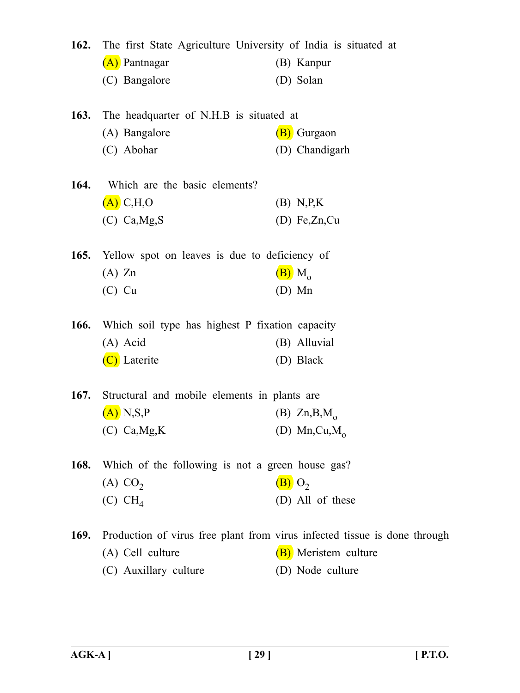| 162.        | The first State Agriculture University of India is situated at |                                                                           |  |
|-------------|----------------------------------------------------------------|---------------------------------------------------------------------------|--|
|             | (A) Pantnagar                                                  | (B) Kanpur                                                                |  |
|             | (C) Bangalore                                                  | (D) Solan                                                                 |  |
| 163.        | The headquarter of N.H.B is situated at                        |                                                                           |  |
|             | (A) Bangalore                                                  | (B) Gurgaon                                                               |  |
|             | (C) Abohar                                                     | (D) Chandigarh                                                            |  |
| 164.        | Which are the basic elements?                                  |                                                                           |  |
|             | $(A)$ C, H, O                                                  | (B) N.P.K                                                                 |  |
|             | $(C)$ Ca, Mg, S                                                | (D) Fe,Zn,Cu                                                              |  |
| 165.        | Yellow spot on leaves is due to deficiency of                  |                                                                           |  |
|             | $(A)$ Zn                                                       | $(B)$ M <sub>o</sub>                                                      |  |
|             | $(C)$ Cu                                                       | $(D)$ Mn                                                                  |  |
| 166.        | Which soil type has highest P fixation capacity                |                                                                           |  |
|             | (A) Acid                                                       | (B) Alluvial                                                              |  |
|             | (C) Laterite                                                   | (D) Black                                                                 |  |
| 167.        | Structural and mobile elements in plants are                   |                                                                           |  |
|             | $(A)$ N,S,P                                                    | (B) $\text{Zn}, \text{B}, \text{M}_{\text{o}}$                            |  |
|             | $(C)$ Ca, Mg, K                                                | (D) Mn, Cu, $M_0$                                                         |  |
| <b>168.</b> | Which of the following is not a green house gas?               |                                                                           |  |
|             | $(A)$ CO <sub>2</sub>                                          | $(B)$ O <sub>2</sub>                                                      |  |
|             | (C) CH <sub>4</sub>                                            | (D) All of these                                                          |  |
| 169.        |                                                                | Production of virus free plant from virus infected tissue is done through |  |
|             | (A) Cell culture                                               | (B) Meristem culture                                                      |  |
|             | (C) Auxillary culture                                          | (D) Node culture                                                          |  |
|             |                                                                |                                                                           |  |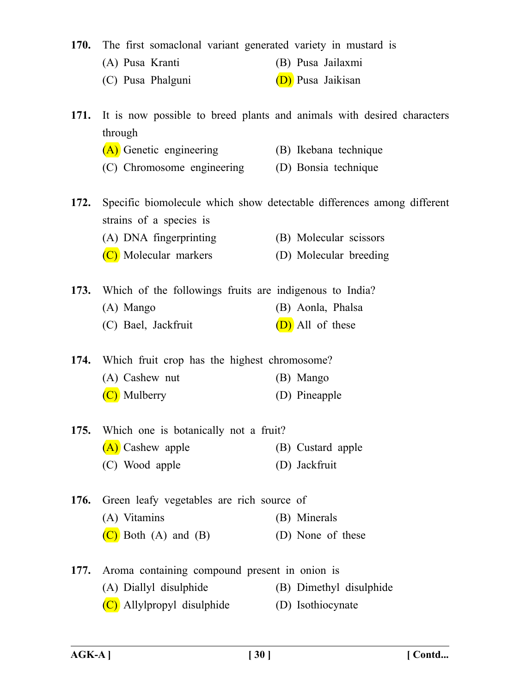**170.** The first somaclonal variant generated variety in mustard is

- (A) Pusa Kranti (B) Pusa Jailaxmi
- (C) Pusa Phalguni (D) Pusa Jaikisan
- **171.** It is now possible to breed plants and animals with desired characters through
	- (A) Genetic engineering (B) Ikebana technique
	- (C) Chromosome engineering (D) Bonsia technique
- **172.** Specific biomolecule which show detectable differences among different strains of a species is
	- (A) DNA fingerprinting (B) Molecular scissors
	- (C) Molecular markers (D) Molecular breeding

**173.** Which of the followings fruits are indigenous to India? (A) Mango (B) Aonla, Phalsa (C) Bael, Jackfruit  $(D)$  All of these

**174.** Which fruit crop has the highest chromosome? (A) Cashew nut (B) Mango

- (C) Mulberry (D) Pineapple
- **175.** Which one is botanically not a fruit? (A) Cashew apple (B) Custard apple (C) Wood apple (D) Jackfruit
- **176.** Green leafy vegetables are rich source of (A) Vitamins (B) Minerals  $(C)$  Both  $(A)$  and  $(B)$  (D) None of these
- **177.** Aroma containing compound present in onion is (A) Diallyl disulphide (B) Dimethyl disulphide (C) Allylpropyl disulphide (D) Isothiocynate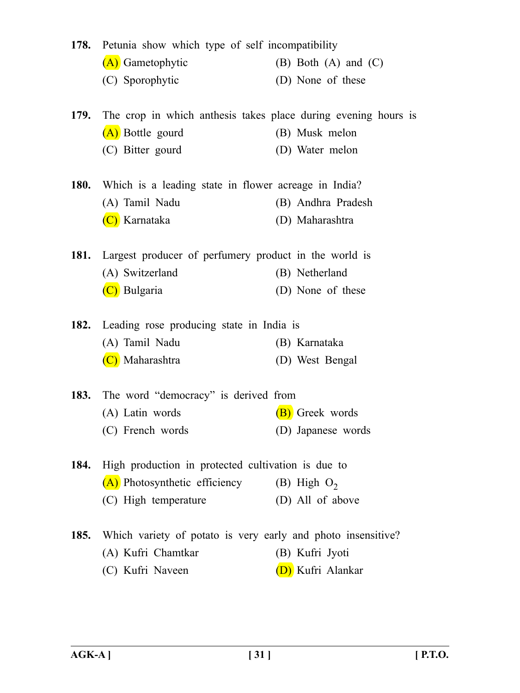|      | 178. Petunia show which type of self incompatibility                |                            |
|------|---------------------------------------------------------------------|----------------------------|
|      | (A) Gametophytic                                                    | $(B)$ Both $(A)$ and $(C)$ |
|      | (C) Sporophytic                                                     | (D) None of these          |
|      | 179. The crop in which anthesis takes place during evening hours is |                            |
|      | (A) Bottle gourd                                                    | (B) Musk melon             |
|      | (C) Bitter gourd                                                    | (D) Water melon            |
|      | 180. Which is a leading state in flower acreage in India?           |                            |
|      | (A) Tamil Nadu                                                      | (B) Andhra Pradesh         |
|      | (C) Karnataka                                                       | (D) Maharashtra            |
|      | 181. Largest producer of perfumery product in the world is          |                            |
|      | (A) Switzerland                                                     | (B) Netherland             |
|      | (C) Bulgaria                                                        | (D) None of these          |
|      | 182. Leading rose producing state in India is                       |                            |
|      | (A) Tamil Nadu                                                      | (B) Karnataka              |
|      | (C) Maharashtra                                                     | (D) West Bengal            |
|      | 183. The word "democracy" is derived from                           |                            |
|      | (A) Latin words                                                     | (B) Greek words            |
|      | (C) French words                                                    | (D) Japanese words         |
| 184. | High production in protected cultivation is due to                  |                            |
|      | (A) Photosynthetic efficiency                                       | (B) High $O_2$             |
|      | (C) High temperature                                                | (D) All of above           |
|      | 185. Which variety of potato is very early and photo insensitive?   |                            |
|      | (A) Kufri Chamtkar                                                  | (B) Kufri Jyoti            |
|      | (C) Kufri Naveen                                                    | (D) Kufri Alankar          |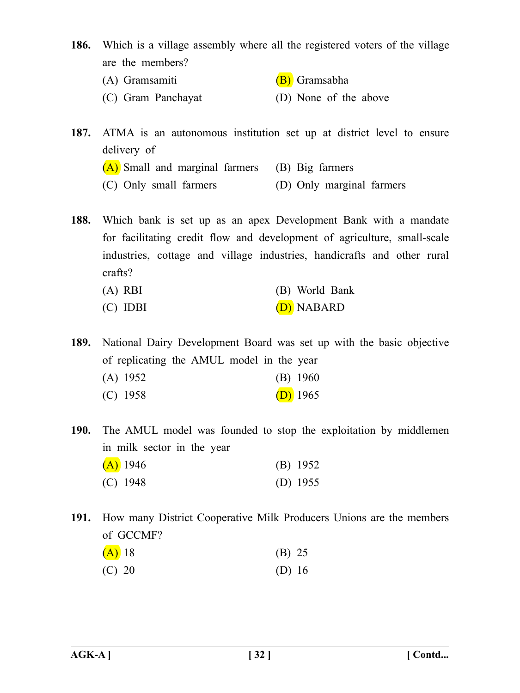- **186.** Which is a village assembly where all the registered voters of the village are the members?
	- (A) Gramsamiti (B) Gramsabha
	- (C) Gram Panchayat (D) None of the above

**187.** ATMA is an autonomous institution set up at district level to ensure delivery of

(A) Small and marginal farmers (B) Big farmers

(C) Only small farmers (D) Only marginal farmers

**188.** Which bank is set up as an apex Development Bank with a mandate for facilitating credit flow and development of agriculture, small-scale industries, cottage and village industries, handicrafts and other rural crafts?

- (A) RBI (B) World Bank
- (C) IDBI (D) NABARD

**189.** National Dairy Development Board was set up with the basic objective of replicating the AMUL model in the year (A) 1952 (B) 1960

(C)  $1958$  (D)  $1965$ 

**190.** The AMUL model was founded to stop the exploitation by middlemen in milk sector in the year  $(A)$  1946 (B) 1952 (C) 1948 (D) 1955

**191.** How many District Cooperative Milk Producers Unions are the members of GCCMF?

| $(A)$ 18 | (B) 25 |
|----------|--------|
| $(C)$ 20 | (D) 16 |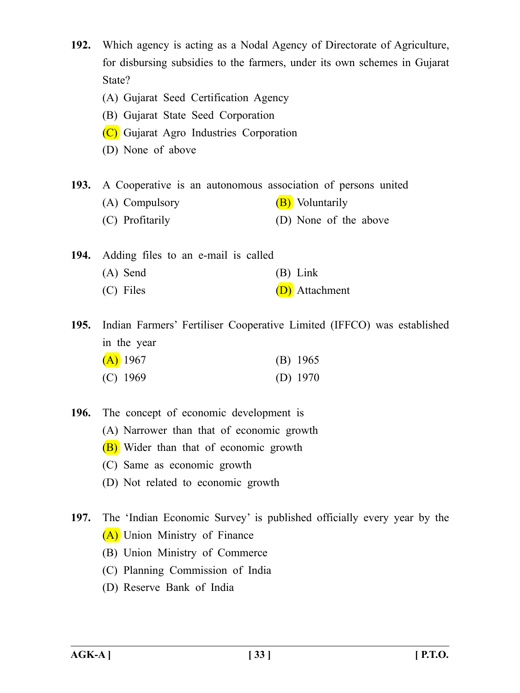**192.** Which agency is acting as a Nodal Agency of Directorate of Agriculture, for disbursing subsidies to the farmers, under its own schemes in Gujarat State?

- (A) Gujarat Seed Certification Agency
- (B) Gujarat State Seed Corporation
- (C) Gujarat Agro Industries Corporation
- (D) None of above

**193.** A Cooperative is an autonomous association of persons united

- (A) Compulsory  $(B)$  Voluntarily
- (C) Profitarily (D) None of the above

**194.** Adding files to an e-mail is called (A) Send (B) Link (C) Files (D) Attachment

**195.** Indian Farmers' Fertiliser Cooperative Limited (IFFCO) was established in the year

| $(A)$ 1967 | $(B)$ 1965 |  |
|------------|------------|--|
| $(C)$ 1969 | (D) $1970$ |  |

**196.** The concept of economic development is

- (A) Narrower than that of economic growth
- (B) Wider than that of economic growth
- (C) Same as economic growth
- (D) Not related to economic growth
- **197.** The 'Indian Economic Survey' is published officially every year by the (A) Union Ministry of Finance
	- (B) Union Ministry of Commerce
	- (C) Planning Commission of India
	- (D) Reserve Bank of India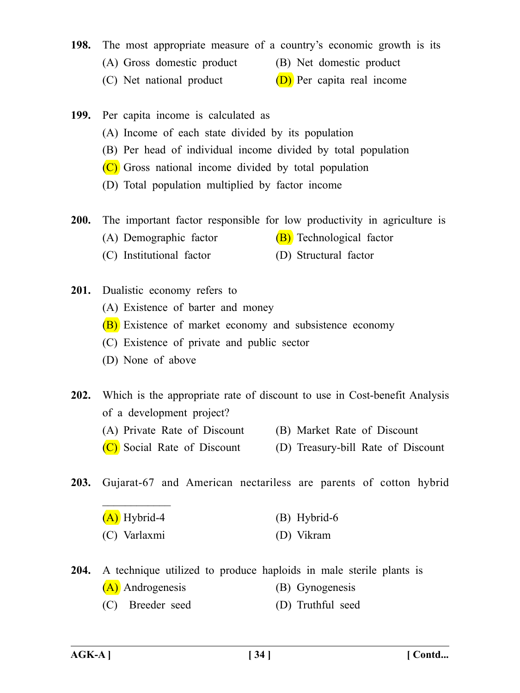## **198.** The most appropriate measure of a country's economic growth is its

- (A) Gross domestic product (B) Net domestic product
- (C) Net national product  $(D)$  Per capita real income
- **199.** Per capita income is calculated as
	- (A) Income of each state divided by its population
	- (B) Per head of individual income divided by total population
	- (C) Gross national income divided by total population
	- (D) Total population multiplied by factor income
- **200.** The important factor responsible for low productivity in agriculture is
	- (A) Demographic factor  $(B)$  Technological factor
	- (C) Institutional factor (D) Structural factor
- **201.** Dualistic economy refers to
	- (A) Existence of barter and money
	- (B) Existence of market economy and subsistence economy
	- (C) Existence of private and public sector
	- (D) None of above

 $\frac{1}{2}$ 

- **202.** Which is the appropriate rate of discount to use in Cost-benefit Analysis of a development project?
	- (A) Private Rate of Discount (B) Market Rate of Discount
	- (C) Social Rate of Discount (D) Treasury-bill Rate of Discount
- **203.** Gujarat-67 and American nectariless are parents of cotton hybrid

| $(A)$ Hybrid-4 | $(B)$ Hybrid-6 |
|----------------|----------------|
| (C) Varlaxmi   | (D) Vikram     |

**204.** A technique utilized to produce haploids in male sterile plants is

- (A) Androgenesis (B) Gynogenesis
- (C) Breeder seed (D) Truthful seed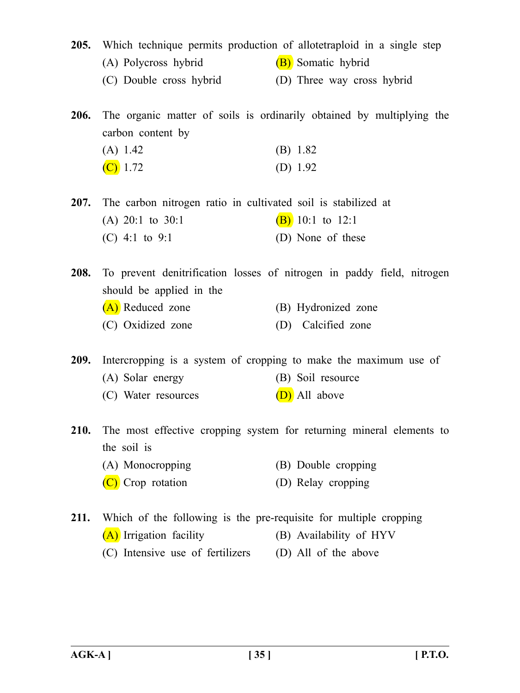- **205.** Which technique permits production of allotetraploid in a single step (A) Polycross hybrid (B) Somatic hybrid
	- (C) Double cross hybrid (D) Three way cross hybrid

**206.** The organic matter of soils is ordinarily obtained by multiplying the carbon content by

| (A) 1.42   | (B) 1.82   |
|------------|------------|
| $(C)$ 1.72 | (D) $1.92$ |

**207.** The carbon nitrogen ratio in cultivated soil is stabilized at

(A) 20:1 to 30:1 (B) 10:1 to 12:1  $(C)$  4:1 to 9:1 (D) None of these

**208.** To prevent denitrification losses of nitrogen in paddy field, nitrogen should be applied in the (A) Reduced zone (B) Hydronized zone (C) Oxidized zone (D) Calcified zone

**209.** Intercropping is a system of cropping to make the maximum use of (A) Solar energy (B) Soil resource

- (C) Water resources (D) All above
- **210.** The most effective cropping system for returning mineral elements to the soil is
	- (A) Monocropping (B) Double cropping
	- (C) Crop rotation (D) Relay cropping
- **211.** Which of the following is the pre-requisite for multiple cropping (A) Irrigation facility (B) Availability of HYV
	- (C) Intensive use of fertilizers (D) All of the above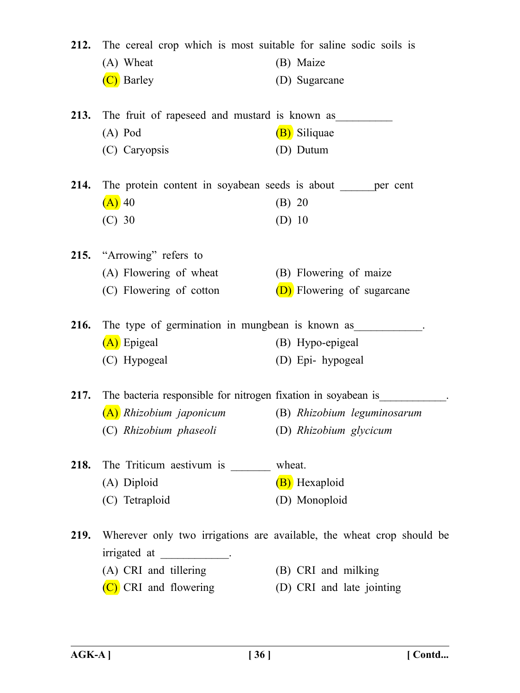|             | 212. The cereal crop which is most suitable for saline sodic soils is    |                                                                       |
|-------------|--------------------------------------------------------------------------|-----------------------------------------------------------------------|
|             | (A) Wheat                                                                | (B) Maize                                                             |
|             | (C) Barley                                                               | (D) Sugarcane                                                         |
|             | <b>213.</b> The fruit of rapeseed and mustard is known as                |                                                                       |
|             | $(A)$ Pod                                                                | (B) Siliquae                                                          |
|             | (C) Caryopsis                                                            | (D) Dutum                                                             |
|             | 214. The protein content in soyabean seeds is about <u>each</u> per cent |                                                                       |
|             | $(A)$ 40                                                                 | (B) 20                                                                |
|             | $(C)$ 30                                                                 | $(D)$ 10                                                              |
|             | 215. "Arrowing" refers to                                                |                                                                       |
|             | (A) Flowering of wheat                                                   | (B) Flowering of maize                                                |
|             | (C) Flowering of cotton                                                  | (D) Flowering of sugarcane                                            |
|             | 216. The type of germination in mungbean is known as                     |                                                                       |
|             | (A) Epigeal                                                              | (B) Hypo-epigeal                                                      |
|             | (C) Hypogeal                                                             | (D) Epi- hypogeal                                                     |
| 217.        | The bacteria responsible for nitrogen fixation in soyabean is            |                                                                       |
|             | (A) Rhizobium japonicum                                                  | (B) Rhizobium leguminosarum                                           |
|             | (C) Rhizobium phaseoli (D) Rhizobium glycicum                            |                                                                       |
|             | 218. The Triticum aestivum is ________ wheat.                            |                                                                       |
|             | (A) Diploid                                                              | (B) Hexaploid                                                         |
|             | (C) Tetraploid                                                           | (D) Monoploid                                                         |
| <b>219.</b> | irrigated at ______________.                                             | Wherever only two irrigations are available, the wheat crop should be |
|             | (A) CRI and tillering                                                    | (B) CRI and milking                                                   |
|             | (C) CRI and flowering                                                    | (D) CRI and late jointing                                             |
|             |                                                                          |                                                                       |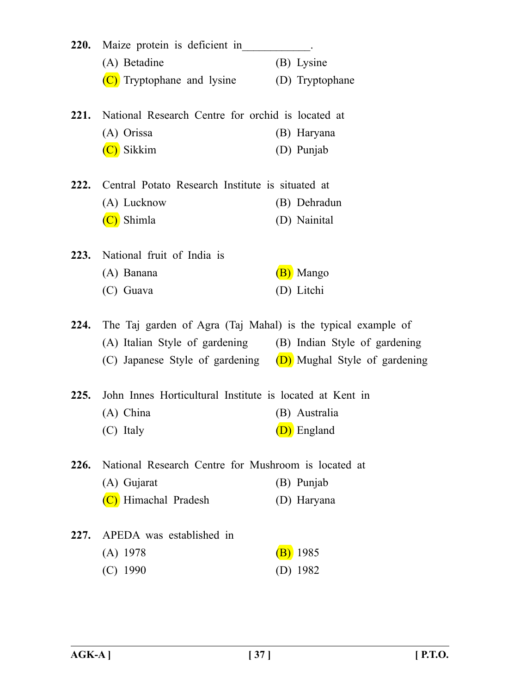| <b>220.</b> | Maize protein is deficient in                                   |                 |  |
|-------------|-----------------------------------------------------------------|-----------------|--|
|             | (A) Betadine                                                    | (B) Lysine      |  |
|             | (C) Tryptophane and lysine                                      | (D) Tryptophane |  |
|             | 221. National Research Centre for orchid is located at          |                 |  |
|             | (A) Orissa                                                      | (B) Haryana     |  |
|             | (C) Sikkim                                                      | (D) Punjab      |  |
| 222.        | Central Potato Research Institute is situated at                |                 |  |
|             | (A) Lucknow                                                     | (B) Dehradun    |  |
|             | Shimla                                                          | (D) Nainital    |  |
|             | 223. National fruit of India is                                 |                 |  |
|             | (A) Banana                                                      | (B) Mango       |  |
|             | (C) Guava                                                       | (D) Litchi      |  |
| 224.        | The Taj garden of Agra (Taj Mahal) is the typical example of    |                 |  |
|             | (A) Italian Style of gardening (B) Indian Style of gardening    |                 |  |
|             | (C) Japanese Style of gardening $(D)$ Mughal Style of gardening |                 |  |
| 225.        | John Innes Horticultural Institute is located at Kent in        |                 |  |
|             | (A) China                                                       | (B) Australia   |  |
|             | (C) Italy                                                       | (D) England     |  |
| 226.        | National Research Centre for Mushroom is located at             |                 |  |
|             | (A) Gujarat                                                     | (B) Punjab      |  |
|             | (C) Himachal Pradesh                                            | (D) Haryana     |  |
| 227.        | APEDA was established in                                        |                 |  |
|             | $(A)$ 1978                                                      | 1985            |  |
|             | $(C)$ 1990                                                      | (D) $1982$      |  |
|             |                                                                 |                 |  |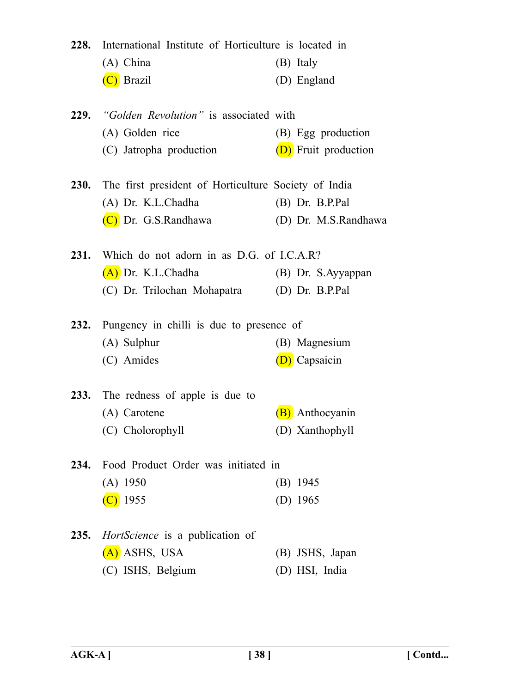| 228. | International Institute of Horticulture is located in<br>(A) China<br>(C) Brazil                        | (B) Italy<br>(D) England                   |
|------|---------------------------------------------------------------------------------------------------------|--------------------------------------------|
|      | <b>229.</b> "Golden Revolution" is associated with<br>(A) Golden rice<br>(C) Jatropha production        | (B) Egg production<br>(D) Fruit production |
|      | 230. The first president of Horticulture Society of India<br>(A) Dr. K.L.Chadha<br>(C) Dr. G.S.Randhawa | $(B)$ Dr. B.P.Pal<br>(D) Dr. M.S.Randhawa  |
| 231. | Which do not adorn in as D.G. of I.C.A.R?<br>(A) Dr. K.L.Chadha<br>(C) Dr. Trilochan Mohapatra          | (B) Dr. S.Ayyappan<br>$(D)$ Dr. B.P.Pal    |
| 232. | Pungency in chilli is due to presence of<br>(A) Sulphur<br>(C) Amides                                   | (B) Magnesium<br>(D) Capsaicin             |
|      | 233. The redness of apple is due to<br>(A) Carotene<br>(C) Cholorophyll                                 | <b>B</b> ) Anthocyanin<br>(D) Xanthophyll  |
| 234. | Food Product Order was initiated in<br>$(A)$ 1950<br>$(C)$ 1955                                         | $(B)$ 1945<br>(D) $1965$                   |
| 235. | <i>HortScience</i> is a publication of<br>(A) ASHS, USA<br>(C) ISHS, Belgium                            | (B) JSHS, Japan<br>(D) HSI, India          |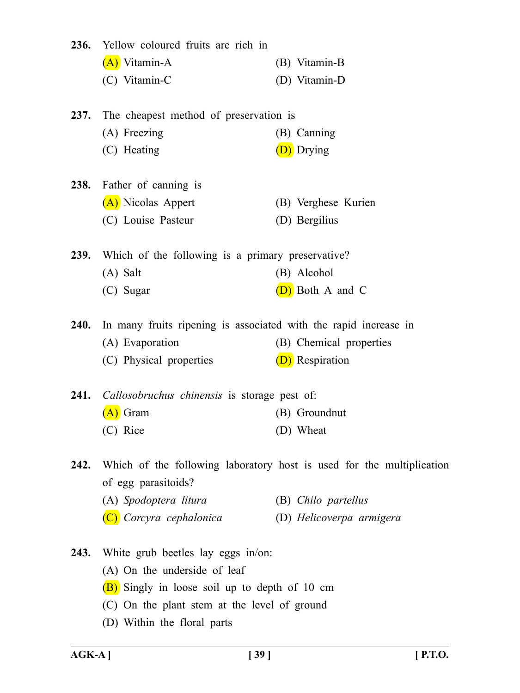| 236.        | Yellow coloured fruits are rich in                               |                                                                       |
|-------------|------------------------------------------------------------------|-----------------------------------------------------------------------|
|             | (A) Vitamin-A                                                    | (B) Vitamin-B                                                         |
|             | (C) Vitamin-C                                                    | (D) Vitamin-D                                                         |
| <b>237.</b> | The cheapest method of preservation is                           |                                                                       |
|             | (A) Freezing                                                     | (B) Canning                                                           |
|             | (C) Heating                                                      | (D) Drying                                                            |
| <b>238.</b> | Father of canning is                                             |                                                                       |
|             | (A) Nicolas Appert                                               | (B) Verghese Kurien                                                   |
|             | (C) Louise Pasteur                                               | (D) Bergilius                                                         |
| <b>239.</b> | Which of the following is a primary preservative?                |                                                                       |
|             | $(A)$ Salt                                                       | (B) Alcohol                                                           |
|             | (C) Sugar                                                        | (D) Both A and C                                                      |
| 240.        | In many fruits ripening is associated with the rapid increase in |                                                                       |
|             | (A) Evaporation                                                  | (B) Chemical properties                                               |
|             | (C) Physical properties                                          | (D) Respiration                                                       |
|             | 241. Callosobruchus chinensis is storage pest of:                |                                                                       |
|             | $(A)$ Gram                                                       | (B) Groundnut                                                         |
|             | (C) Rice                                                         | (D) Wheat                                                             |
| 242.        |                                                                  | Which of the following laboratory host is used for the multiplication |
|             | of egg parasitoids?                                              |                                                                       |
|             | (A) Spodoptera litura                                            | (B) Chilo partellus                                                   |
|             | (C) Corcyra cephalonica                                          | (D) Helicoverpa armigera                                              |
| 243.        | White grub beetles lay eggs in/on:                               |                                                                       |
|             | (A) On the underside of leaf                                     |                                                                       |
|             | (B) Singly in loose soil up to depth of 10 cm                    |                                                                       |
|             | (C) On the plant stem at the level of ground                     |                                                                       |
|             | (D) Within the floral parts                                      |                                                                       |
|             |                                                                  |                                                                       |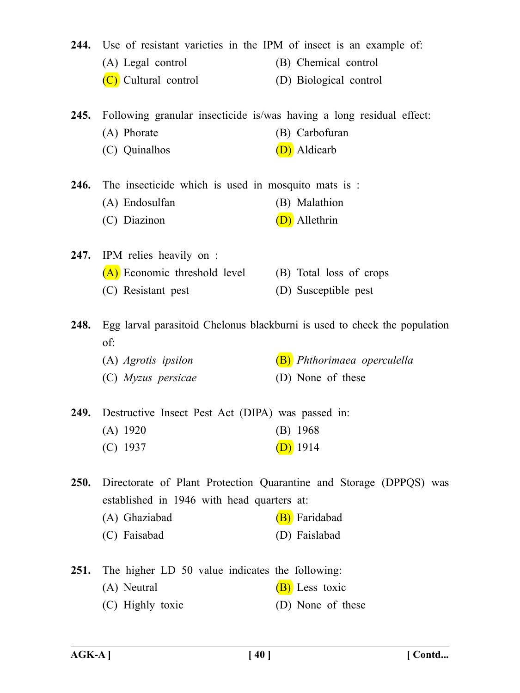|             | 244. Use of resistant varieties in the IPM of insect is an example of:    |                                                                    |
|-------------|---------------------------------------------------------------------------|--------------------------------------------------------------------|
|             | (A) Legal control                                                         | (B) Chemical control                                               |
|             | (C) Cultural control                                                      | (D) Biological control                                             |
|             |                                                                           |                                                                    |
| 245.        | Following granular insecticide is/was having a long residual effect:      |                                                                    |
|             | (A) Phorate                                                               | (B) Carbofuran                                                     |
|             | (C) Quinalhos                                                             | (D) Aldicarb                                                       |
|             | <b>246.</b> The insecticide which is used in mosquito mats is :           |                                                                    |
|             | (A) Endosulfan                                                            | (B) Malathion                                                      |
|             | (C) Diazinon                                                              | (D) Allethrin                                                      |
| 247.        | IPM relies heavily on :                                                   |                                                                    |
|             | (A) Economic threshold level                                              | (B) Total loss of crops                                            |
|             | (C) Resistant pest                                                        | (D) Susceptible pest                                               |
|             |                                                                           |                                                                    |
| 248.        | Egg larval parasitoid Chelonus blackburni is used to check the population |                                                                    |
|             | of:                                                                       |                                                                    |
|             | (A) Agrotis ipsilon                                                       | (B) Phthorimaea operculella                                        |
|             | (C) Myzus persicae                                                        | (D) None of these                                                  |
| 249.        | Destructive Insect Pest Act (DIPA) was passed in:                         |                                                                    |
|             | (B) $1968$<br>$(A)$ 1920                                                  |                                                                    |
|             | $(C)$ 1937                                                                | $(D)$ 1914                                                         |
|             |                                                                           |                                                                    |
| <b>250.</b> |                                                                           | Directorate of Plant Protection Quarantine and Storage (DPPQS) was |
|             | established in 1946 with head quarters at:                                |                                                                    |
|             | (A) Ghaziabad                                                             | (B) Faridabad                                                      |
|             | (C) Faisabad                                                              | (D) Faislabad                                                      |
| 251.        | The higher LD 50 value indicates the following:                           |                                                                    |
|             | (A) Neutral                                                               | (B) Less toxic                                                     |
|             | (C) Highly toxic                                                          | (D) None of these                                                  |
|             |                                                                           |                                                                    |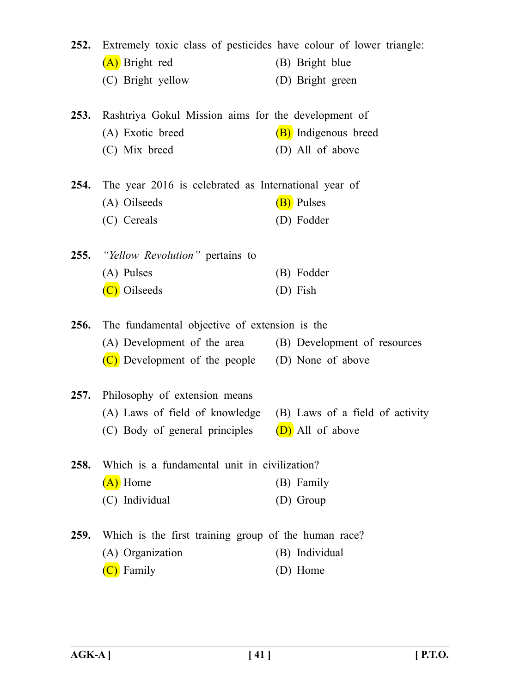| 252.        | Extremely toxic class of pesticides have colour of lower triangle: |                      |
|-------------|--------------------------------------------------------------------|----------------------|
|             | (A) Bright red                                                     | (B) Bright blue      |
|             | (C) Bright yellow                                                  | (D) Bright green     |
| <b>253.</b> | Rashtriya Gokul Mission aims for the development of                |                      |
|             | (A) Exotic breed                                                   | (B) Indigenous breed |
|             | (C) Mix breed                                                      | (D) All of above     |
| 254.        | The year 2016 is celebrated as International year of               |                      |
|             | (A) Oilseeds                                                       | (B) Pulses           |
|             | (C) Cereals                                                        | (D) Fodder           |
|             | <b>255.</b> "Yellow Revolution" pertains to                        |                      |
|             | (A) Pulses                                                         | (B) Fodder           |
|             | (C) Oilseeds                                                       | (D) Fish             |
| 256.        | The fundamental objective of extension is the                      |                      |
|             | (A) Development of the area (B) Development of resources           |                      |
|             | (C) Development of the people (D) None of above                    |                      |
| <b>257.</b> | Philosophy of extension means                                      |                      |
|             | (A) Laws of field of knowledge (B) Laws of a field of activity     |                      |
|             | (C) Body of general principles $(D)$ All of above                  |                      |
| 258.        | Which is a fundamental unit in civilization?                       |                      |
|             | (A) Home                                                           | (B) Family           |
|             | (C) Individual                                                     | (D) Group            |
| 259.        | Which is the first training group of the human race?               |                      |
|             | (A) Organization                                                   | (B) Individual       |
|             | (C) Family                                                         | (D) Home             |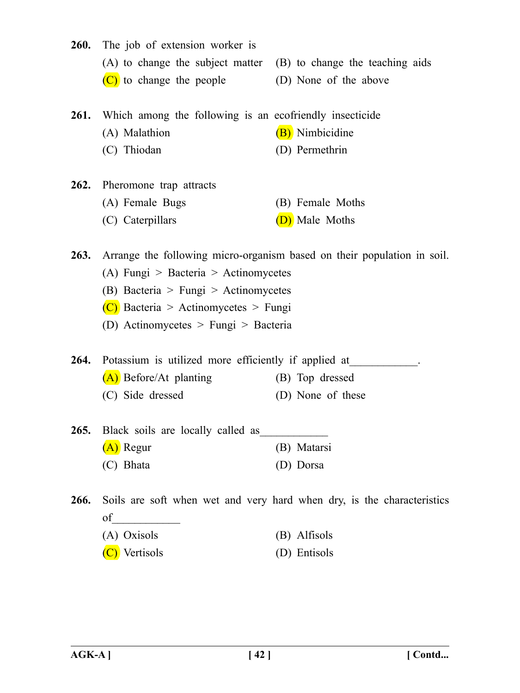- **260.** The job of extension worker is (A) to change the subject matter (B) to change the teaching aids  $(C)$  to change the people  $(D)$  None of the above **261.** Which among the following is an ecofriendly insecticide (A) Malathion (B) Nimbicidine (C) Thiodan (D) Permethrin **262.** Pheromone trap attracts (A) Female Bugs (B) Female Moths (C) Caterpillars  $(D)$  Male Moths **263.** Arrange the following micro-organism based on their population in soil. (A) Fungi > Bacteria > Actinomycetes (B) Bacteria > Fungi > Actinomycetes  $(C)$  Bacteria > Actinomycetes > Fungi (D) Actinomycetes > Fungi > Bacteria **264.** Potassium is utilized more efficiently if applied at (A) Before/At planting (B) Top dressed (C) Side dressed (D) None of these 265. Black soils are locally called as (A) Regur (B) Matarsi (C) Bhata (D) Dorsa **266.** Soils are soft when wet and very hard when dry, is the characteristics of\_\_\_\_\_\_\_\_\_\_\_\_ (A) Oxisols (B) Alfisols
	- (C) Vertisols (D) Entisols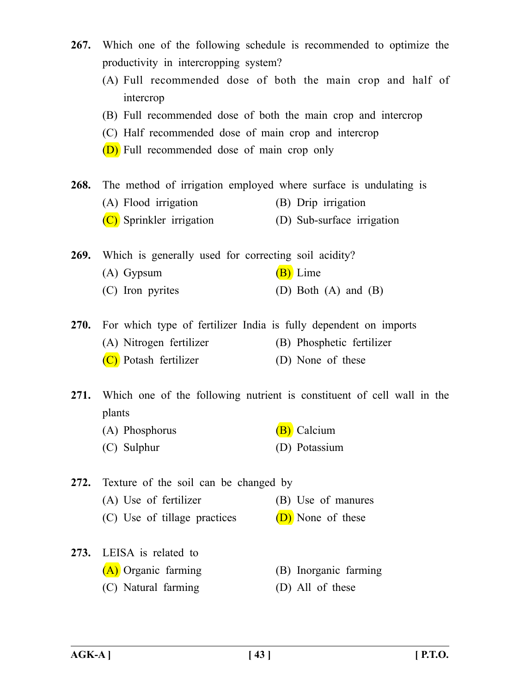- **267.** Which one of the following schedule is recommended to optimize the productivity in intercropping system?
	- (A) Full recommended dose of both the main crop and half of intercrop
	- (B) Full recommended dose of both the main crop and intercrop
	- (C) Half recommended dose of main crop and intercrop
	- (D) Full recommended dose of main crop only
- **268.** The method of irrigation employed where surface is undulating is
	- (A) Flood irrigation (B) Drip irrigation
	- (C) Sprinkler irrigation (D) Sub-surface irrigation

**269.** Which is generally used for correcting soil acidity?

- (A) Gypsum  $(B)$  Lime
- (C) Iron pyrites (D) Both (A) and (B)

**270.** For which type of fertilizer India is fully dependent on imports

- (A) Nitrogen fertilizer (B) Phosphetic fertilizer
	- (C) Potash fertilizer (D) None of these

**271.** Which one of the following nutrient is constituent of cell wall in the plants

- (A) Phosphorus (B) Calcium
- (C) Sulphur (D) Potassium

**272.** Texture of the soil can be changed by (A) Use of fertilizer (B) Use of manures (C) Use of tillage practices  $(D)$  None of these

- **273.** LEISA is related to (A) Organic farming (B) Inorganic farming
	- (C) Natural farming (D) All of these
- -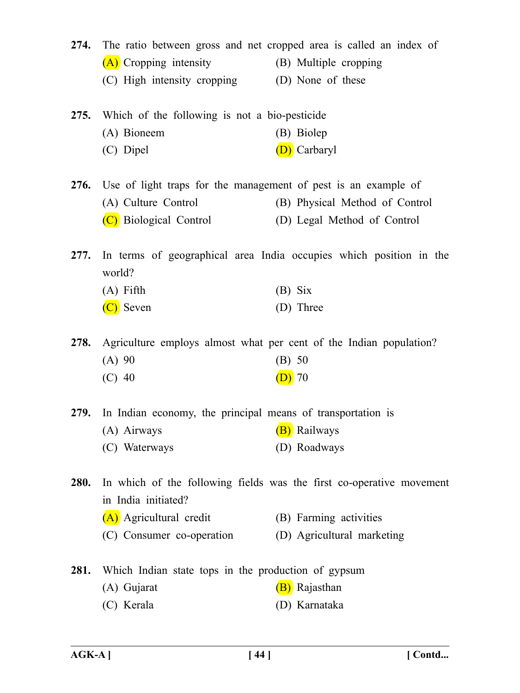|             | 274. The ratio between gross and net cropped area is called an index of<br>(A) Cropping intensity<br>(C) High intensity cropping (D) None of these | (B) Multiple cropping          |
|-------------|----------------------------------------------------------------------------------------------------------------------------------------------------|--------------------------------|
| 275.        | Which of the following is not a bio-pesticide<br>(A) Bioneem                                                                                       | (B) Biolep                     |
|             | (C) Dipel                                                                                                                                          | (D) Carbaryl                   |
| <b>276.</b> | Use of light traps for the management of pest is an example of                                                                                     |                                |
|             | (A) Culture Control                                                                                                                                | (B) Physical Method of Control |
|             | (C) Biological Control                                                                                                                             | (D) Legal Method of Control    |
| 277.        | In terms of geographical area India occupies which position in the<br>world?                                                                       |                                |
|             | $(A)$ Fifth                                                                                                                                        | $(B)$ Six                      |
|             | (C) Seven                                                                                                                                          | (D) Three                      |
| 278.        | Agriculture employs almost what per cent of the Indian population?                                                                                 |                                |
|             | $(A)$ 90                                                                                                                                           | (B) 50                         |
|             | $(C)$ 40                                                                                                                                           | $(D)$ 70                       |
|             | 279. In Indian economy, the principal means of transportation is                                                                                   |                                |
|             | (A) Airways (B) Railways                                                                                                                           |                                |
|             | (C) Waterways                                                                                                                                      | (D) Roadways                   |
| <b>280.</b> | In which of the following fields was the first co-operative movement<br>in India initiated?                                                        |                                |
|             | (A) Agricultural credit                                                                                                                            | (B) Farming activities         |
|             | (C) Consumer co-operation                                                                                                                          | (D) Agricultural marketing     |
| 281.        | Which Indian state tops in the production of gypsum                                                                                                |                                |
|             | (A) Gujarat                                                                                                                                        | (B) Rajasthan                  |
|             | (C) Kerala                                                                                                                                         | (D) Karnataka                  |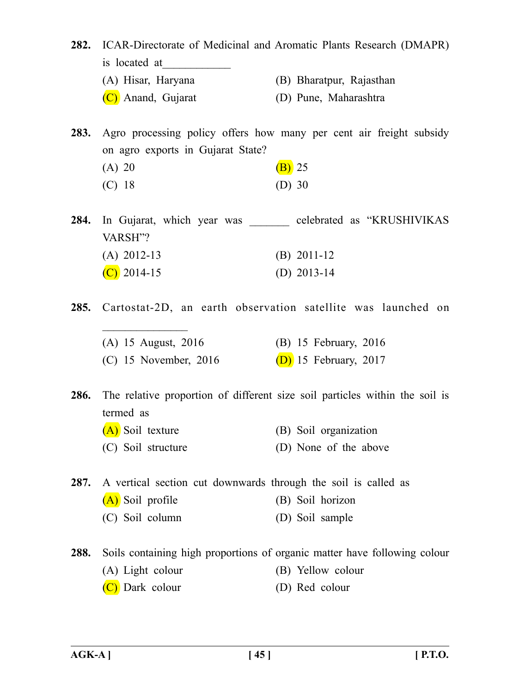**282.** ICAR-Directorate of Medicinal and Aromatic Plants Research (DMAPR) is located at

- (A) Hisar, Haryana (B) Bharatpur, Rajasthan
- (C) Anand, Gujarat (D) Pune, Maharashtra

**283.** Agro processing policy offers how many per cent air freight subsidy on agro exports in Gujarat State?

(A) 20 (B) 25 (C) 18 (D) 30

 $\frac{1}{2}$ 

**284.** In Gujarat, which year was celebrated as "KRUSHIVIKAS" VARSH"? (A) 2012-13 (B) 2011-12  $(C)$  2014-15 (D) 2013-14

**285.** Cartostat-2D, an earth observation satellite was launched on

(A) 15 August, 2016 (B) 15 February, 2016 (C) 15 November, 2016 (D) 15 February, 2017

**286.** The relative proportion of different size soil particles within the soil is termed as

(A) Soil texture (B) Soil organization (C) Soil structure (D) None of the above

**287.** A vertical section cut downwards through the soil is called as

- (A) Soil profile (B) Soil horizon
- (C) Soil column (D) Soil sample
- **288.** Soils containing high proportions of organic matter have following colour (A) Light colour (B) Yellow colour (C) Dark colour (D) Red colour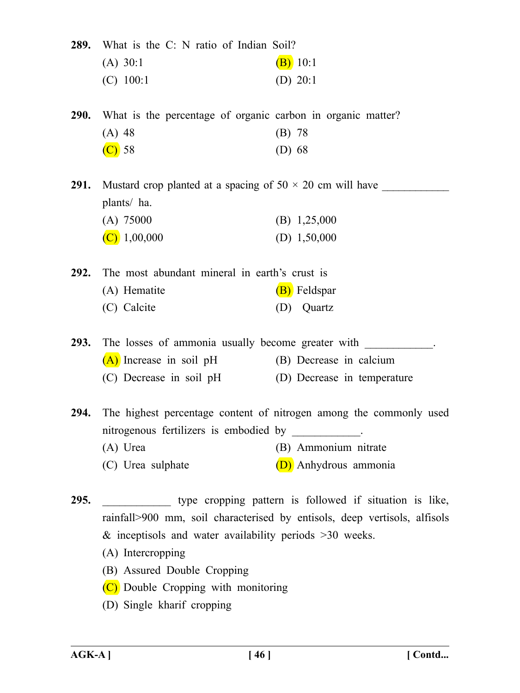**289.** What is the C: N ratio of Indian Soil?

| $(A)$ 30:1  | $(B)$ 10:1 |
|-------------|------------|
| $(C)$ 100:1 | (D) $20:1$ |

**290.** What is the percentage of organic carbon in organic matter? (A) 48 (B) 78  $(C)$  58 (D) 68

**291.** Mustard crop planted at a spacing of  $50 \times 20$  cm will have plants/ ha. (A) 75000 (B) 1,25,000 (C)  $1,00,000$  (D)  $1,50,000$ 

**292.** The most abundant mineral in earth's crust is (A) Hematite  $(B)$  Feldspar (C) Calcite (D) Quartz

293. The losses of ammonia usually become greater with  $\qquad \qquad$ (A) Increase in soil pH (B) Decrease in calcium

(C) Decrease in soil pH (D) Decrease in temperature

**294.** The highest percentage content of nitrogen among the commonly used nitrogenous fertilizers is embodied by (A) Urea (B) Ammonium nitrate (C) Urea sulphate (D) Anhydrous ammonia

**295.** \_\_\_\_\_\_\_\_\_\_\_\_ type cropping pattern is followed if situation is like, rainfall>900 mm, soil characterised by entisols, deep vertisols, alfisols  $&$  inceptisols and water availability periods  $>30$  weeks.

- (A) Intercropping
- (B) Assured Double Cropping
- (C) Double Cropping with monitoring
- (D) Single kharif cropping